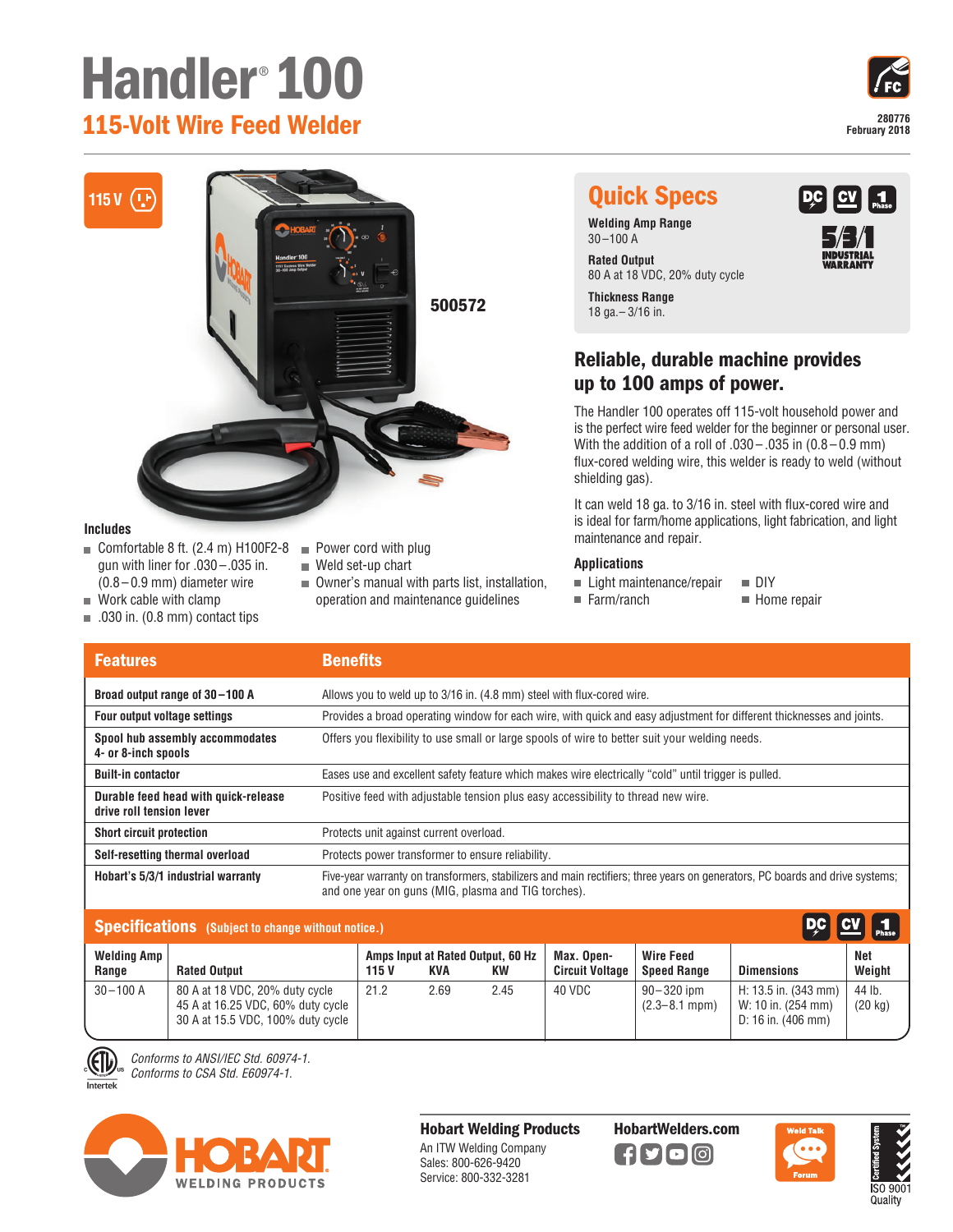# **Handler**® **100 115-Volt Wire Feed Welder 28077**



 $\vert$  1

 $C$ V

## **115 V (P) Quick Specs**

**Welding Amp Range**  $30 - 100$  A

80 A at 18 VDC, 20% duty cycle

**Thickness Range** 18 ga.– 3/16 in.

### **Reliable, durable machine provides up to 100 amps of power.**

The Handler 100 operates off 115-volt household power and is the perfect wire feed welder for the beginner or personal user. With the addition of a roll of  $.030 - .035$  in  $(0.8 - 0.9$  mm) flux-cored welding wire, this welder is ready to weld (without shielding gas).

It can weld 18 ga. to 3/16 in. steel with flux-cored wire and is ideal for farm/home applications, light fabrication, and light maintenance and repair.

#### **Applications**

- $\blacksquare$  Light maintenance/repair  $\blacksquare$  DIY
- $\blacksquare$  Farm/ranch  $\blacksquare$  Home repair
- 
- Allows you to weld up to 3/16 in. (4.8 mm) steel with flux-cored wire. Provides a broad operating window for each wire, with quick and easy adjustment for different thicknesses and joints. Offers you flexibility to use small or large spools of wire to better suit your welding needs. Eases use and excellent safety feature which makes wire electrically "cold" until trigger is pulled. Positive feed with adjustable tension plus easy accessibility to thread new wire. Protects unit against current overload. Protects power transformer to ensure reliability. Five-year warranty on transformers, stabilizers and main rectifiers; three years on generators, PC boards and drive systems; and one year on guns (MIG, plasma and TIG torches). **Broad output range of 30 –100 A Four output voltage settings Spool hub assembly accommodates 4- or 8-inch spools Built-in contactor Durable feed head with quick-release drive roll tension lever Short circuit protection Self-resetting thermal overload Hobart's 5/3/1 industrial warranty Features Benefits**

| Specifications (Subject to change without notice.) |                                                                                                          |       |                                          |      |                                      |                                        | DC CV 1                                                                    |                             |  |
|----------------------------------------------------|----------------------------------------------------------------------------------------------------------|-------|------------------------------------------|------|--------------------------------------|----------------------------------------|----------------------------------------------------------------------------|-----------------------------|--|
| <b>Welding Amp</b><br>Range                        | <b>Rated Output</b>                                                                                      | 115 V | Amps Input at Rated Output, 60 Hz<br>KVA | KW   | Max. Open-<br><b>Circuit Voltage</b> | <b>Wire Feed</b><br><b>Speed Range</b> | <b>Dimensions</b>                                                          | Net<br>Weight               |  |
| $30 - 100$ A                                       | 80 A at 18 VDC, 20% duty cycle<br>45 A at 16.25 VDC, 60% duty cycle<br>30 A at 15.5 VDC, 100% duty cycle | 21.2  | 2.69                                     | 2.45 | 40 VDC                               | $90 - 320$ ipm<br>$(2.3 - 8.1$ mpm)    | H: 13.5 in. (343 mm)<br>W: 10 in. (254 mm)<br>D: 16 in. $(406 \text{ mm})$ | 44 lb.<br>$(20 \text{ kg})$ |  |

*Conforms to ANSI/IEC Std. 60974-1. Conforms to CSA Std. E60974-1.*

Intertek



**Hobart Welding Products** An ITW Welding Company Sales: 800-626-9420 Service: 800-332-3281

**HobartWelders.com**

 $\left| \right|$  fy color





- Comfortable 8 ft.  $(2.4 \text{ m})$  H100F2-8 gun with liner for .030 –.035 in. (0.8 – 0.9 mm) diameter wire ■ Weld set-up chart
- $\blacksquare$  Work cable with clamp

**Includes**

- $\Box$  .030 in. (0.8 mm) contact tips
- Power cord with plug
- Owner's manual with parts list, installation, operation and maintenance guidelines

**500572**



**Rated Output**